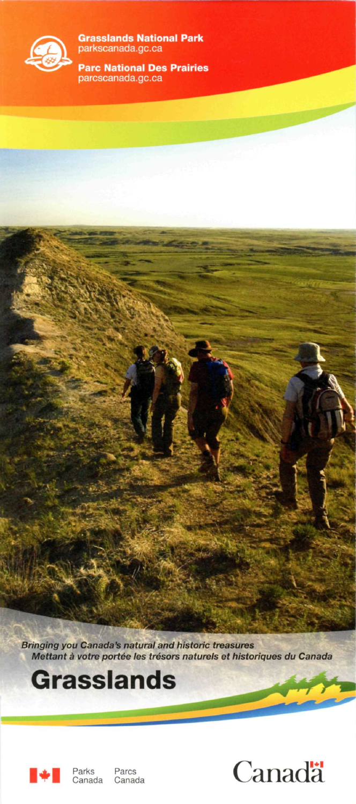

**Grasslands National Park**  parkscanada.gc.ca

**Pare National Des Prairies**  parcscanada.gc.ca

Bringing you Canada's natural and historic treasures Mettant à votre portée les trésors naturels et historiques du Canada

## **Grasslands**